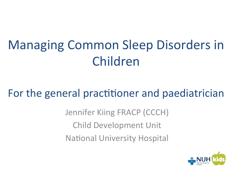# Managing Common Sleep Disorders in Children

#### For the general practitioner and paediatrician

Jennifer Kiing FRACP (CCCH) Child Development Unit **National University Hospital** 

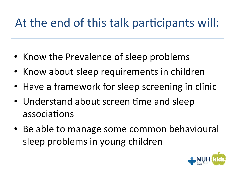### At the end of this talk participants will:

- Know the Prevalence of sleep problems
- Know about sleep requirements in children
- Have a framework for sleep screening in clinic
- Understand about screen time and sleep associations
- Be able to manage some common behavioural sleep problems in young children

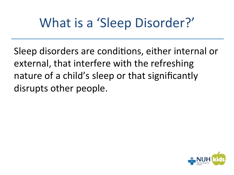# What is a 'Sleep Disorder?'

Sleep disorders are conditions, either internal or external, that interfere with the refreshing nature of a child's sleep or that significantly disrupts other people.

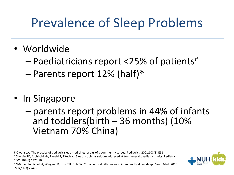## Prevalence of Sleep Problems

- Worldwide
	- $-$  Paediatricians report <25% of patients<sup>#</sup>
	- $-$  Parents report 12% (half)\*
- In Singapore

 $-$  parents report problems in 44% of infants and toddlers(birth  $-36$  months) (10% Vietnam 70% China) 

# Owens JA. The practice of pediatric sleep medicine; results of a community survey. Pediatrics. 2001;108(3):E51 \*Chervin RD, Archbold KH, Panahi P, Pituch KJ. Sleep problems seldom addresed at two general paediatric clinics. Pediatrics. 2001;107(6):1375-80 

\*\*Mindell JA, Sadeh A, Wiegand B, How TH, Goh DY. Cross cultural differences in infant and toddler sleep. Sleep Med. 2010 Mar;11(3):274-80. 

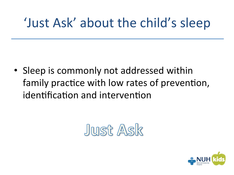## 'Just Ask' about the child's sleep

• Sleep is commonly not addressed within family practice with low rates of prevention, identification and intervention

# Just Ask

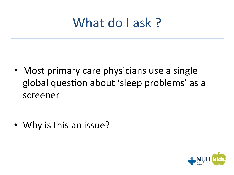## What do I ask?

• Most primary care physicians use a single global question about 'sleep problems' as a screener 

• Why is this an issue?

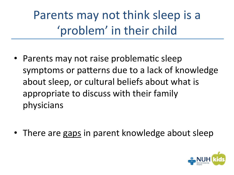Parents may not think sleep is a 'problem' in their child

• Parents may not raise problematic sleep symptoms or patterns due to a lack of knowledge about sleep, or cultural beliefs about what is appropriate to discuss with their family physicians 

• There are gaps in parent knowledge about sleep

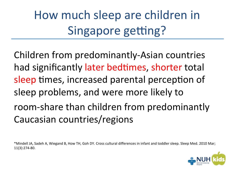How much sleep are children in Singapore getting?

Children from predominantly-Asian countries had significantly later bedtimes, shorter total sleep times, increased parental perception of sleep problems, and were more likely to room-share than children from predominantly Caucasian countries/regions

\*Mindell JA, Sadeh A, Wiegand B, How TH, Goh DY. Cross cultural differences in infant and toddler sleep. Sleep Med. 2010 Mar; 11(3):274-80. 

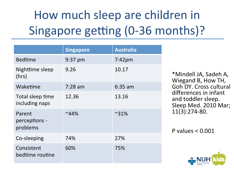# How much sleep are children in Singapore getting (0-36 months)?

|                                     | <b>Singapore</b> | <b>Australia</b> |
|-------------------------------------|------------------|------------------|
| <b>Bedtime</b>                      | 9:37 pm          | $7:42$ pm        |
| Nighttime sleep<br>(hrs)            | 9.26             | 10.17            |
| Waketime                            | $7:28$ am        | $6:35$ am        |
| Total sleep time<br>including naps  | 12.36            | 13.16            |
| Parent<br>perceptions -<br>problems | $~44\%$          | $~31\%$          |
| Co-sleeping                         | 74%              | 27%              |
| Consistent<br>bedtime routine       | 60%              | 75%              |

\*Mindell JA, Sadeh A, Wiegand B, How TH, Goh DY. Cross cultural differences in infant and toddler sleep. Sleep Med. 2010 Mar; 11(3):274-80. 

P values  $< 0.001$ 

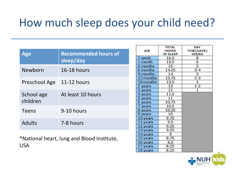#### How much sleep does your child need?

| <b>Age</b>    | <b>Recommended hours of</b>                | AGE       | <b>TOTAL</b><br><b>HOURS</b><br>OF SLEEP | DAY<br>TIME(NAPS)<br><b>HOURS</b> |
|---------------|--------------------------------------------|-----------|------------------------------------------|-----------------------------------|
|               |                                            | 1 week    | 16.5                                     | 8                                 |
|               | sleep/day                                  | 1 month   | 15.5                                     | 6                                 |
|               |                                            | 3 months  | 15                                       | 5                                 |
| Newborn       | <b>16-18 hours</b>                         | 6 months  | 14.25                                    | $3 - 4$                           |
|               |                                            | 9 months  | 14                                       | 3                                 |
|               |                                            | 12 months | 13.75                                    | $2 - 3$                           |
| Preschool Age | 11-12 hours                                | 18 months | 13.5                                     | $\overline{2}$                    |
|               |                                            | 2 years   | 13                                       | $1 - 2$                           |
|               |                                            | 3 years   | 12                                       | 1                                 |
| School age    | At least 10 hours                          | 4 years   | 11.5                                     |                                   |
|               |                                            | 5 years   | 11                                       |                                   |
| children      |                                            | 6 years   | 10.75                                    |                                   |
|               |                                            | 7 years   | 10.5                                     |                                   |
| <b>Teens</b>  | 9-10 hours                                 | 8 years   | 10.25                                    |                                   |
|               |                                            | 9 years   | 10                                       |                                   |
|               |                                            | 10 years  | 9.75                                     |                                   |
| <b>Adults</b> | 7-8 hours                                  | 11 years  | 9.5                                      |                                   |
|               |                                            | 12 years  | 9.25                                     |                                   |
|               |                                            | 13 years  | 9.25                                     |                                   |
|               |                                            | 14 years  | 9                                        |                                   |
|               | *National heart, lung and Blood Institute, | 15 years  | 8.75                                     |                                   |
|               |                                            | 16 years  | 8.5                                      |                                   |
| <b>USA</b>    |                                            | 17 years  | 8.25                                     |                                   |
|               |                                            | 18 years  | 8.25                                     |                                   |

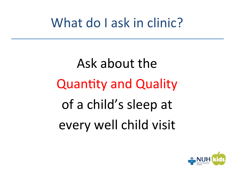## What do I ask in clinic?

# Ask about the **Quantity and Quality** of a child's sleep at every well child visit

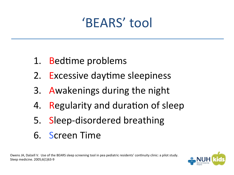# 'BEARS' tool

- 1. Bedtime problems
- 2. Excessive daytime sleepiness
- 3. Awakenings during the night
- 4. Regularity and duration of sleep
- 5. Sleep-disordered breathing
- 6. Screen Time

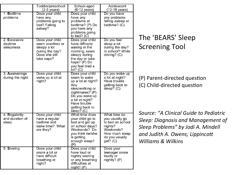|                                           | Toddler/preschool<br>$(2-5$ years)                                                                      | School-aged<br>$(6-12 \text{ years})$                                                                                                                                                    | Adolescent<br>$(13-18 \text{ years})$                                                                                      |                                                                                                                                                                                        |
|-------------------------------------------|---------------------------------------------------------------------------------------------------------|------------------------------------------------------------------------------------------------------------------------------------------------------------------------------------------|----------------------------------------------------------------------------------------------------------------------------|----------------------------------------------------------------------------------------------------------------------------------------------------------------------------------------|
| 1. Bedtime<br>problems                    | Does your child<br>have any<br>problems going to<br>bed? Falling<br>asleep?                             | Does your child<br>have any<br>problems at<br>bedtime? (P) Do<br>you have any<br>problems going<br>to bed? $(C)$                                                                         | Do you have<br>any problems<br>falling asleep at<br>bedtime? (C)                                                           | The 'BEARS' Sleep                                                                                                                                                                      |
| 2. Excessive<br>daytime<br>sleepiness     | Does your child<br>seem overtired or<br>sleepy a lot<br>during the day?<br>Does she still<br>take naps? | Does your child<br>have difficulty<br>waking in the<br>morning, seem<br>sleepy during<br>the day or take<br>haps? $(P)$ Do<br>you feel tired a<br>lot? (C)                               | Do you feel<br>sleep a lot<br>during the day?<br>In school? While<br>driving? $(C)$                                        | <b>Screening Tool</b>                                                                                                                                                                  |
| 3. Awakenings<br>during the night         | Does your child<br>wake up a lot at<br>night?                                                           | Does your child<br>seem to wake<br>up a lot at night?<br>Any<br>sleepwalking or<br>nightmares? (P)<br>Do you wake up<br>a lot at night?<br>Have trouble<br>getting back to<br>sleep? (C) | Do you wake up<br>a lot at night?<br>Have trouble<br>getting back to<br>sleep? $(C)$                                       | (P) Parent-directed question<br>(C) Child-directed question                                                                                                                            |
| 4. Regularity<br>and duration of<br>sleep | Does your child<br>have a regular<br>bedtime and<br>wake time? What<br>are they?                        | What time does<br>your child go to<br>bed and get up<br>on school days?<br>Weekends? Do<br>you think he/she<br>is getting<br>enough sleep?<br>(P)                                        | What time do<br>you usually go<br>to bed on school<br>nights?<br>Weekends?<br>How much sleep<br>do you usually<br>get? (C) | Source: "A Clinical Guide to Pediatric<br>Sleep: Diagnosis and Management of<br>Sleep Problems" by Jodi A. Mindell<br>and Judith A. Owens; Lippincott<br><b>Williams &amp; Wilkins</b> |
| 5. Snoring                                | Does your child<br>snore a lot or<br>have difficult<br>breathing at<br>night?                           | Does your child<br>have loud or<br>nightly snoring<br>or any breathing<br>difficulties at<br>$night?$ (P)                                                                                | Does your<br>teenager snore<br>loudly or<br>nightly? (P)                                                                   |                                                                                                                                                                                        |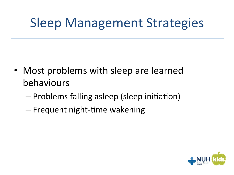## **Sleep Management Strategies**

- Most problems with sleep are learned behaviours
	- Problems falling asleep (sleep initiation)
	- Frequent night-time wakening

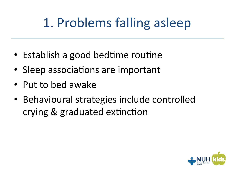# 1. Problems falling asleep

- Establish a good bedtime routine
- Sleep associations are important
- Put to bed awake
- Behavioural strategies include controlled crying & graduated extinction

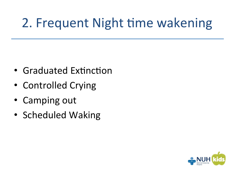# 2. Frequent Night time wakening

- Graduated Extinction
- Controlled Crying
- Camping out
- Scheduled Waking

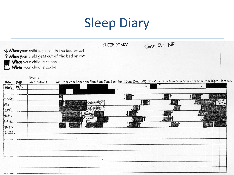# **Sleep Diary**

|                  |                                             | When your child is placed in the bed or cot |  |               |  | Case 2: NP<br>SLEEP DIARY |  |   |  |                                                                                                      |   |  |
|------------------|---------------------------------------------|---------------------------------------------|--|---------------|--|---------------------------|--|---|--|------------------------------------------------------------------------------------------------------|---|--|
|                  |                                             |                                             |  |               |  |                           |  |   |  |                                                                                                      |   |  |
|                  | TWhen your child gets out of the bed or cot |                                             |  |               |  |                           |  |   |  |                                                                                                      |   |  |
|                  | When your child is asleep                   |                                             |  |               |  |                           |  |   |  |                                                                                                      |   |  |
|                  | When your child is awake                    |                                             |  |               |  |                           |  |   |  |                                                                                                      |   |  |
|                  | Events                                      |                                             |  |               |  |                           |  |   |  |                                                                                                      |   |  |
| Day Date         | Medications                                 |                                             |  |               |  |                           |  |   |  | Mn 1am 2am 3am 4am 5am 6am 7am 8am 9am 10am 11am MD 1Pm 2Pm 3pm 4pm 5pm 6pm 7pm 8pm 9pm 10pm 11pm MN |   |  |
| Mon 19/5         |                                             |                                             |  |               |  |                           |  | ↓ |  |                                                                                                      | ↓ |  |
|                  |                                             |                                             |  |               |  | ↑                         |  |   |  |                                                                                                      |   |  |
|                  |                                             |                                             |  |               |  |                           |  |   |  |                                                                                                      |   |  |
| THURS.           |                                             |                                             |  | <b>AGITAT</b> |  |                           |  |   |  |                                                                                                      |   |  |
| FRI              |                                             |                                             |  |               |  |                           |  |   |  |                                                                                                      |   |  |
| SAT              |                                             |                                             |  |               |  |                           |  |   |  |                                                                                                      |   |  |
| 5 UN 1           |                                             |                                             |  |               |  |                           |  |   |  |                                                                                                      |   |  |
| MON <sub>L</sub> |                                             |                                             |  |               |  |                           |  |   |  |                                                                                                      |   |  |
| TUES             |                                             |                                             |  |               |  |                           |  |   |  | 羅網                                                                                                   |   |  |
| $WES$ .          |                                             |                                             |  |               |  |                           |  |   |  |                                                                                                      |   |  |
|                  |                                             |                                             |  |               |  |                           |  |   |  |                                                                                                      |   |  |
|                  |                                             |                                             |  |               |  |                           |  |   |  |                                                                                                      |   |  |
|                  |                                             |                                             |  |               |  |                           |  |   |  |                                                                                                      |   |  |
|                  |                                             |                                             |  |               |  |                           |  |   |  |                                                                                                      |   |  |
|                  | $\mathbf{I}$                                |                                             |  |               |  |                           |  |   |  |                                                                                                      |   |  |
|                  |                                             |                                             |  |               |  |                           |  |   |  |                                                                                                      |   |  |
|                  |                                             |                                             |  |               |  |                           |  |   |  |                                                                                                      |   |  |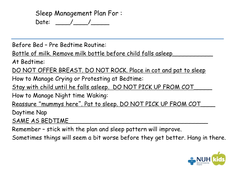Sleep Management Plan For : Date: \_\_\_\_/\_\_\_\_/\_\_\_\_\_

Before Bed – Pre Bedtime Routine:

Bottle of milk. Remove milk bottle before child falls asleep

At Bedtime:

DO NOT OFFER BREAST. DO NOT ROCK. Place in cot and pat to sleep

How to Manage Crying or Protesting at Bedtime:

Stay with child until he falls asleep. DO NOT PICK UP FROM COT

How to Manage Night time Waking:

Reassure " mummys here". Pat to sleep. DO NOT PICK UP FROM COT\_\_\_\_

Daytime Nap

SAME AS BEDTIME

Remember – stick with the plan and sleep pattern will improve.

Sometimes things will seem a bit worse before they get better. Hang in there.